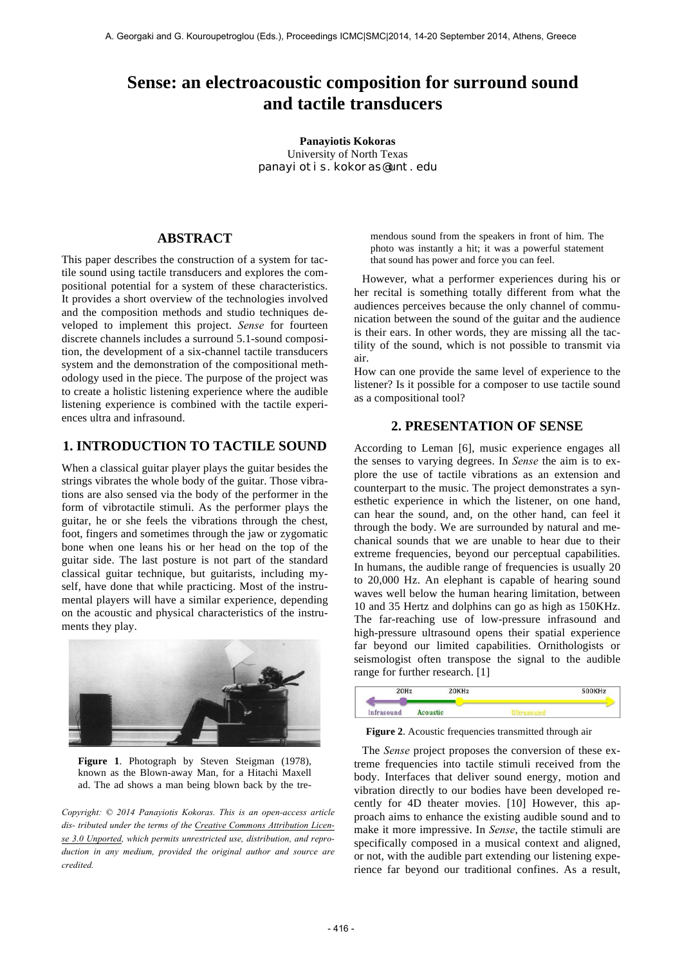# **Sense: an electroacoustic composition for surround sound and tactile transducers**

**Panayiotis Kokoras** University of North Texas panayiotis.kokoras@unt.edu

#### **ABSTRACT**

This paper describes the construction of a system for tactile sound using tactile transducers and explores the compositional potential for a system of these characteristics. It provides a short overview of the technologies involved and the composition methods and studio techniques developed to implement this project. *Sense* for fourteen discrete channels includes a surround 5.1-sound composition, the development of a six-channel tactile transducers system and the demonstration of the compositional methodology used in the piece. The purpose of the project was to create a holistic listening experience where the audible listening experience is combined with the tactile experiences ultra and infrasound.

## **1. INTRODUCTION TO TACTILE SOUND**

When a classical guitar player plays the guitar besides the strings vibrates the whole body of the guitar. Those vibrations are also sensed via the body of the performer in the form of vibrotactile stimuli. As the performer plays the guitar, he or she feels the vibrations through the chest, foot, fingers and sometimes through the jaw or zygomatic bone when one leans his or her head on the top of the guitar side. The last posture is not part of the standard classical guitar technique, but guitarists, including myself, have done that while practicing. Most of the instrumental players will have a similar experience, depending on the acoustic and physical characteristics of the instruments they play.



Figure 1. Photograph by Steven Steigman (1978), known as the Blown-away Man, for a Hitachi Maxell ad. The ad shows a man being blown back by the tre-

*Copyright: © 2014 Panayiotis Kokoras. This is an open-access article dis- tributed under the terms of the Creative Commons Attribution License 3.0 Unported, which permits unrestricted use, distribution, and reproduction in any medium, provided the original author and source are credited.*

mendous sound from the speakers in front of him. The photo was instantly a hit; it was a powerful statement that sound has power and force you can feel.

However, what a performer experiences during his or her recital is something totally different from what the audiences perceives because the only channel of communication between the sound of the guitar and the audience is their ears. In other words, they are missing all the tactility of the sound, which is not possible to transmit via air.

How can one provide the same level of experience to the listener? Is it possible for a composer to use tactile sound as a compositional tool?

## **2. PRESENTATION OF SENSE**

According to Leman [6], music experience engages all the senses to varying degrees. In *Sense* the aim is to explore the use of tactile vibrations as an extension and counterpart to the music. The project demonstrates a synesthetic experience in which the listener, on one hand, can hear the sound, and, on the other hand, can feel it through the body. We are surrounded by natural and mechanical sounds that we are unable to hear due to their extreme frequencies, beyond our perceptual capabilities. In humans, the audible range of frequencies is usually 20 to 20,000 Hz. An elephant is capable of hearing sound waves well below the human hearing limitation, between 10 and 35 Hertz and dolphins can go as high as 150KHz. The far-reaching use of low-pressure infrasound and high-pressure ultrasound opens their spatial experience far beyond our limited capabilities. Ornithologists or seismologist often transpose the signal to the audible range for further research. [1]



**Figure 2**. Acoustic frequencies transmitted through air

The *Sense* project proposes the conversion of these extreme frequencies into tactile stimuli received from the body. Interfaces that deliver sound energy, motion and vibration directly to our bodies have been developed recently for 4D theater movies. [10] However, this approach aims to enhance the existing audible sound and to make it more impressive. In *Sense*, the tactile stimuli are specifically composed in a musical context and aligned, or not, with the audible part extending our listening experience far beyond our traditional confines. As a result,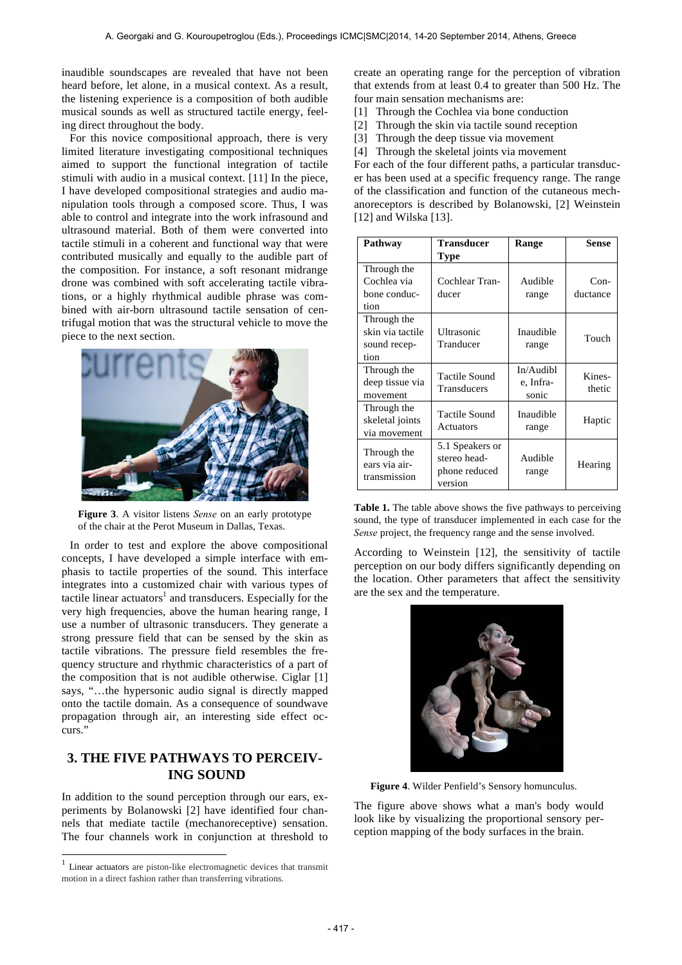inaudible soundscapes are revealed that have not been heard before, let alone, in a musical context. As a result, the listening experience is a composition of both audible musical sounds as well as structured tactile energy, feeling direct throughout the body.

For this novice compositional approach, there is very limited literature investigating compositional techniques aimed to support the functional integration of tactile stimuli with audio in a musical context. [11] In the piece, I have developed compositional strategies and audio manipulation tools through a composed score. Thus, I was able to control and integrate into the work infrasound and ultrasound material. Both of them were converted into tactile stimuli in a coherent and functional way that were contributed musically and equally to the audible part of the composition. For instance, a soft resonant midrange drone was combined with soft accelerating tactile vibrations, or a highly rhythmical audible phrase was combined with air-born ultrasound tactile sensation of centrifugal motion that was the structural vehicle to move the piece to the next section.



**Figure 3**. A visitor listens *Sense* on an early prototype of the chair at the Perot Museum in Dallas, Texas.

In order to test and explore the above compositional concepts, I have developed a simple interface with emphasis to tactile properties of the sound. This interface integrates into a customized chair with various types of tactile linear actuators<sup>1</sup> and transducers. Especially for the very high frequencies, above the human hearing range, I use a number of ultrasonic transducers. They generate a strong pressure field that can be sensed by the skin as tactile vibrations. The pressure field resembles the frequency structure and rhythmic characteristics of a part of the composition that is not audible otherwise. Ciglar [1] says, "…the hypersonic audio signal is directly mapped onto the tactile domain. As a consequence of soundwave propagation through air, an interesting side effect occurs."

#### **3. THE FIVE PATHWAYS TO PERCEIV-ING SOUND**

In addition to the sound perception through our ears, experiments by Bolanowski [2] have identified four channels that mediate tactile (mechanoreceptive) sensation. The four channels work in conjunction at threshold to

 $\overline{a}$ 

create an operating range for the perception of vibration that extends from at least 0.4 to greater than 500 Hz. The four main sensation mechanisms are:

- [1] Through the Cochlea via bone conduction
- [2] Through the skin via tactile sound reception
- [3] Through the deep tissue via movement
- [4] Through the skeletal joints via movement

For each of the four different paths, a particular transducer has been used at a specific frequency range. The range of the classification and function of the cutaneous mechanoreceptors is described by Bolanowski, [2] Weinstein [12] and Wilska [13].

| Pathway                                                 | <b>Transducer</b>                                           | Range                              | Sense            |
|---------------------------------------------------------|-------------------------------------------------------------|------------------------------------|------------------|
|                                                         | <b>Type</b>                                                 |                                    |                  |
| Through the                                             |                                                             |                                    |                  |
| Cochlea via                                             | Cochlear Tran-                                              | Audible                            | $Con-$           |
| bone conduc-                                            | ducer                                                       | range                              | ductance         |
| tion                                                    |                                                             |                                    |                  |
| Through the<br>skin via tactile<br>sound recep-<br>tion | Ultrasonic<br>Tranducer                                     | Inaudible<br>range                 | Touch            |
| Through the<br>deep tissue via<br>movement              | Tactile Sound<br>Transducers                                | $In/A$ udibl<br>e, Infra-<br>sonic | Kines-<br>thetic |
| Through the<br>skeletal joints<br>via movement          | <b>Tactile Sound</b><br>Actuators                           | Inaudible<br>range                 | Haptic           |
| Through the<br>ears via air-<br>transmission            | 5.1 Speakers or<br>stereo head-<br>phone reduced<br>version | Audible<br>range                   | Hearing          |

**Table 1.** The table above shows the five pathways to perceiving sound, the type of transducer implemented in each case for the *Sense* project, the frequency range and the sense involved.

According to Weinstein [12], the sensitivity of tactile perception on our body differs significantly depending on the location. Other parameters that affect the sensitivity are the sex and the temperature.



**Figure 4**. Wilder Penfield's Sensory homunculus.

The figure above shows what a man's body would look like by visualizing the proportional sensory perception mapping of the body surfaces in the brain.

<sup>1</sup> Linear actuators are piston-like electromagnetic devices that transmit motion in a direct fashion rather than transferring vibrations.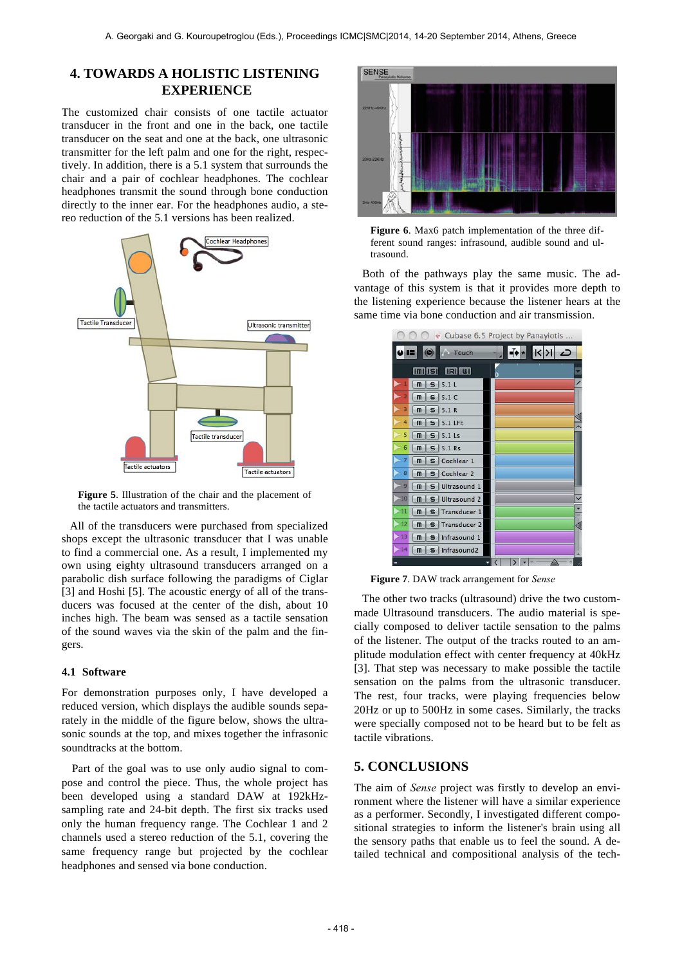#### **4. TOWARDS A HOLISTIC LISTENING EXPERIENCE**

The customized chair consists of one tactile actuator transducer in the front and one in the back, one tactile transducer on the seat and one at the back, one ultrasonic transmitter for the left palm and one for the right, respectively. In addition, there is a 5.1 system that surrounds the chair and a pair of cochlear headphones. The cochlear headphones transmit the sound through bone conduction directly to the inner ear. For the headphones audio, a stereo reduction of the 5.1 versions has been realized.



**Figure 5**. Illustration of the chair and the placement of the tactile actuators and transmitters.

All of the transducers were purchased from specialized shops except the ultrasonic transducer that I was unable to find a commercial one. As a result, I implemented my own using eighty ultrasound transducers arranged on a parabolic dish surface following the paradigms of Ciglar [3] and Hoshi [5]. The acoustic energy of all of the transducers was focused at the center of the dish, about 10 inches high. The beam was sensed as a tactile sensation of the sound waves via the skin of the palm and the fingers.

#### **4.1 Software**

For demonstration purposes only, I have developed a reduced version, which displays the audible sounds separately in the middle of the figure below, shows the ultrasonic sounds at the top, and mixes together the infrasonic soundtracks at the bottom.

Part of the goal was to use only audio signal to compose and control the piece. Thus, the whole project has been developed using a standard DAW at 192kHzsampling rate and 24-bit depth. The first six tracks used only the human frequency range. The Cochlear 1 and 2 channels used a stereo reduction of the 5.1, covering the same frequency range but projected by the cochlear headphones and sensed via bone conduction.



**Figure 6**. Max6 patch implementation of the three different sound ranges: infrasound, audible sound and ultrasound.

Both of the pathways play the same music. The advantage of this system is that it provides more depth to the listening experience because the listener hears at the same time via bone conduction and air transmission.

|                                         | G Cubase 6.5 Project by Panayiotis |
|-----------------------------------------|------------------------------------|
| $\circledcirc$<br>Touch                 | ב⊿ <mark>ול</mark> אן ∗∲ד          |
| <b>IRI IWI</b><br><b>Imilisi</b>        | ÷                                  |
| 5.1L<br>m<br>s                          | 7                                  |
| 5.1C<br>$\mathbf{S}$<br>m               |                                    |
| в<br>5.1R<br>m<br>s                     |                                    |
| 4<br>5.1 LFE<br>m<br>s                  | G                                  |
| 5<br>$5.1$ Ls<br>m<br>S                 |                                    |
| 6<br>5.1 Rs<br>m<br>s                   |                                    |
| Cochlear 1<br>m<br>s                    |                                    |
| Cochlear <sub>2</sub><br>R<br>m<br>s    |                                    |
| g<br>Ultrasound 1<br>m<br>$\mathbf{S}$  |                                    |
| 10<br>Ultrasound 2<br>m<br>s            |                                    |
| 11<br>Transducer 1<br>$\mathbf{S}$<br>m |                                    |
| 12<br><b>Transducer 2</b><br>S<br>m     |                                    |
| 13<br>Infrasound 1<br>s<br>m            |                                    |
| Infrasound <sub>2</sub><br>s<br>m       |                                    |
|                                         |                                    |

**Figure 7**. DAW track arrangement for *Sense*

The other two tracks (ultrasound) drive the two custommade Ultrasound transducers. The audio material is specially composed to deliver tactile sensation to the palms of the listener. The output of the tracks routed to an amplitude modulation effect with center frequency at 40kHz [3]. That step was necessary to make possible the tactile sensation on the palms from the ultrasonic transducer. The rest, four tracks, were playing frequencies below 20Hz or up to 500Hz in some cases. Similarly, the tracks were specially composed not to be heard but to be felt as tactile vibrations.

#### **5. CONCLUSIONS**

The aim of *Sense* project was firstly to develop an environment where the listener will have a similar experience as a performer. Secondly, I investigated different compositional strategies to inform the listener's brain using all the sensory paths that enable us to feel the sound. A detailed technical and compositional analysis of the tech